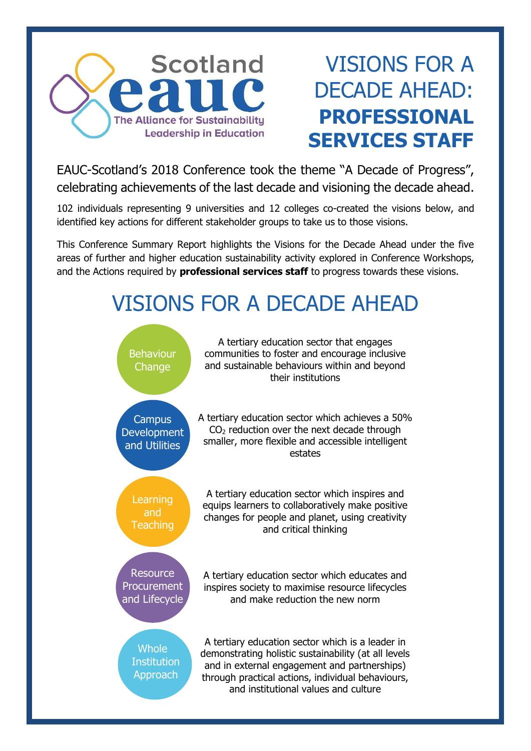

### VISIONS FOR A DECADE AHEAD: **PROFESSIONAL SERVICES STAFF**

EAUC-Scotland's 2018 Conference took the theme "A Decade of Progress", celebrating achievements of the last decade and visioning the decade ahead.

102 individuals representing 9 universities and 12 colleges co-created the visions below, and identified key actions for different stakeholder groups to take us to those visions.

This Conference Summary Report highlights the Visions for the Decade Ahead under the five areas of further and higher education sustainability activity explored in Conference Workshops, and the Actions required by **professional services staff** to progress towards these visions.

## VISIONS FOR A DECADE AHEAD